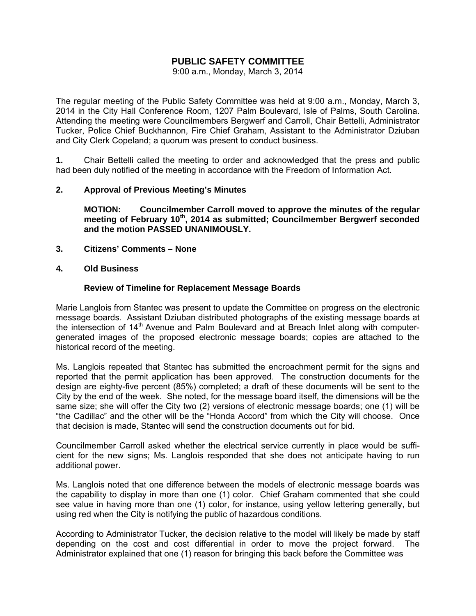# **PUBLIC SAFETY COMMITTEE**

9:00 a.m., Monday, March 3, 2014

The regular meeting of the Public Safety Committee was held at 9:00 a.m., Monday, March 3, 2014 in the City Hall Conference Room, 1207 Palm Boulevard, Isle of Palms, South Carolina. Attending the meeting were Councilmembers Bergwerf and Carroll, Chair Bettelli, Administrator Tucker, Police Chief Buckhannon, Fire Chief Graham, Assistant to the Administrator Dziuban and City Clerk Copeland; a quorum was present to conduct business.

**1.** Chair Bettelli called the meeting to order and acknowledged that the press and public had been duly notified of the meeting in accordance with the Freedom of Information Act.

#### **2. Approval of Previous Meeting's Minutes**

 **MOTION: Councilmember Carroll moved to approve the minutes of the regular meeting of February 10th, 2014 as submitted; Councilmember Bergwerf seconded and the motion PASSED UNANIMOUSLY.** 

- **3. Citizens' Comments None**
- **4. Old Business**

#### **Review of Timeline for Replacement Message Boards**

Marie Langlois from Stantec was present to update the Committee on progress on the electronic message boards. Assistant Dziuban distributed photographs of the existing message boards at the intersection of 14<sup>th</sup> Avenue and Palm Boulevard and at Breach Inlet along with computergenerated images of the proposed electronic message boards; copies are attached to the historical record of the meeting.

Ms. Langlois repeated that Stantec has submitted the encroachment permit for the signs and reported that the permit application has been approved. The construction documents for the design are eighty-five percent (85%) completed; a draft of these documents will be sent to the City by the end of the week. She noted, for the message board itself, the dimensions will be the same size; she will offer the City two (2) versions of electronic message boards; one (1) will be "the Cadillac" and the other will be the "Honda Accord" from which the City will choose. Once that decision is made, Stantec will send the construction documents out for bid.

Councilmember Carroll asked whether the electrical service currently in place would be sufficient for the new signs; Ms. Langlois responded that she does not anticipate having to run additional power.

Ms. Langlois noted that one difference between the models of electronic message boards was the capability to display in more than one (1) color. Chief Graham commented that she could see value in having more than one (1) color, for instance, using yellow lettering generally, but using red when the City is notifying the public of hazardous conditions.

According to Administrator Tucker, the decision relative to the model will likely be made by staff depending on the cost and cost differential in order to move the project forward. The Administrator explained that one (1) reason for bringing this back before the Committee was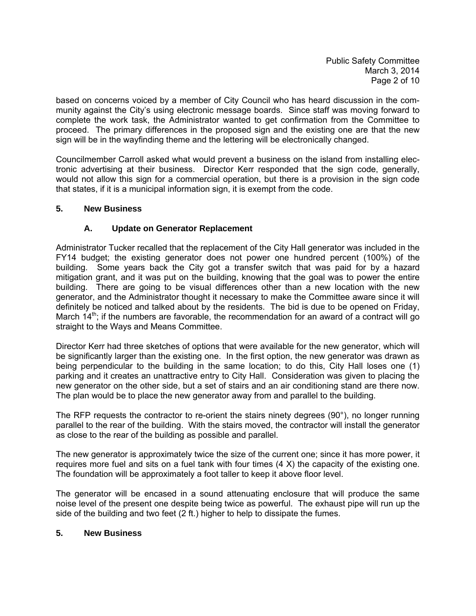based on concerns voiced by a member of City Council who has heard discussion in the community against the City's using electronic message boards. Since staff was moving forward to complete the work task, the Administrator wanted to get confirmation from the Committee to proceed. The primary differences in the proposed sign and the existing one are that the new sign will be in the wayfinding theme and the lettering will be electronically changed.

Councilmember Carroll asked what would prevent a business on the island from installing electronic advertising at their business. Director Kerr responded that the sign code, generally, would not allow this sign for a commercial operation, but there is a provision in the sign code that states, if it is a municipal information sign, it is exempt from the code.

## **5. New Business**

# **A. Update on Generator Replacement**

Administrator Tucker recalled that the replacement of the City Hall generator was included in the FY14 budget; the existing generator does not power one hundred percent (100%) of the building. Some years back the City got a transfer switch that was paid for by a hazard mitigation grant, and it was put on the building, knowing that the goal was to power the entire building. There are going to be visual differences other than a new location with the new generator, and the Administrator thought it necessary to make the Committee aware since it will definitely be noticed and talked about by the residents. The bid is due to be opened on Friday, March  $14<sup>th</sup>$ ; if the numbers are favorable, the recommendation for an award of a contract will go straight to the Ways and Means Committee.

Director Kerr had three sketches of options that were available for the new generator, which will be significantly larger than the existing one. In the first option, the new generator was drawn as being perpendicular to the building in the same location; to do this, City Hall loses one (1) parking and it creates an unattractive entry to City Hall. Consideration was given to placing the new generator on the other side, but a set of stairs and an air conditioning stand are there now. The plan would be to place the new generator away from and parallel to the building.

The RFP requests the contractor to re-orient the stairs ninety degrees (90°), no longer running parallel to the rear of the building. With the stairs moved, the contractor will install the generator as close to the rear of the building as possible and parallel.

The new generator is approximately twice the size of the current one; since it has more power, it requires more fuel and sits on a fuel tank with four times (4 X) the capacity of the existing one. The foundation will be approximately a foot taller to keep it above floor level.

The generator will be encased in a sound attenuating enclosure that will produce the same noise level of the present one despite being twice as powerful. The exhaust pipe will run up the side of the building and two feet (2 ft.) higher to help to dissipate the fumes.

### **5. New Business**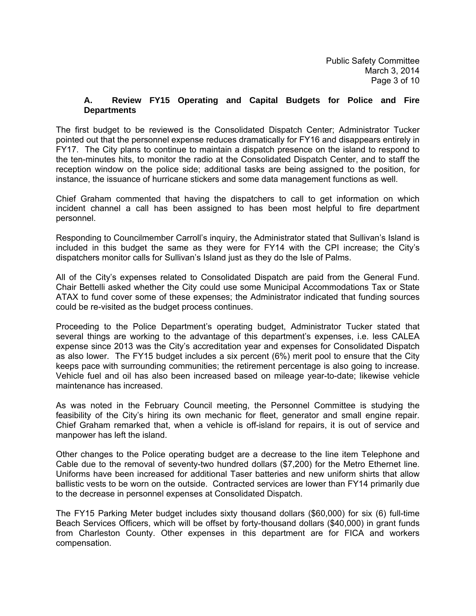### **A. Review FY15 Operating and Capital Budgets for Police and Fire Departments**

The first budget to be reviewed is the Consolidated Dispatch Center; Administrator Tucker pointed out that the personnel expense reduces dramatically for FY16 and disappears entirely in FY17. The City plans to continue to maintain a dispatch presence on the island to respond to the ten-minutes hits, to monitor the radio at the Consolidated Dispatch Center, and to staff the reception window on the police side; additional tasks are being assigned to the position, for instance, the issuance of hurricane stickers and some data management functions as well.

Chief Graham commented that having the dispatchers to call to get information on which incident channel a call has been assigned to has been most helpful to fire department personnel.

Responding to Councilmember Carroll's inquiry, the Administrator stated that Sullivan's Island is included in this budget the same as they were for FY14 with the CPI increase; the City's dispatchers monitor calls for Sullivan's Island just as they do the Isle of Palms.

All of the City's expenses related to Consolidated Dispatch are paid from the General Fund. Chair Bettelli asked whether the City could use some Municipal Accommodations Tax or State ATAX to fund cover some of these expenses; the Administrator indicated that funding sources could be re-visited as the budget process continues.

Proceeding to the Police Department's operating budget, Administrator Tucker stated that several things are working to the advantage of this department's expenses, i.e. less CALEA expense since 2013 was the City's accreditation year and expenses for Consolidated Dispatch as also lower. The FY15 budget includes a six percent (6%) merit pool to ensure that the City keeps pace with surrounding communities; the retirement percentage is also going to increase. Vehicle fuel and oil has also been increased based on mileage year-to-date; likewise vehicle maintenance has increased.

As was noted in the February Council meeting, the Personnel Committee is studying the feasibility of the City's hiring its own mechanic for fleet, generator and small engine repair. Chief Graham remarked that, when a vehicle is off-island for repairs, it is out of service and manpower has left the island.

Other changes to the Police operating budget are a decrease to the line item Telephone and Cable due to the removal of seventy-two hundred dollars (\$7,200) for the Metro Ethernet line. Uniforms have been increased for additional Taser batteries and new uniform shirts that allow ballistic vests to be worn on the outside. Contracted services are lower than FY14 primarily due to the decrease in personnel expenses at Consolidated Dispatch.

The FY15 Parking Meter budget includes sixty thousand dollars (\$60,000) for six (6) full-time Beach Services Officers, which will be offset by forty-thousand dollars (\$40,000) in grant funds from Charleston County. Other expenses in this department are for FICA and workers compensation.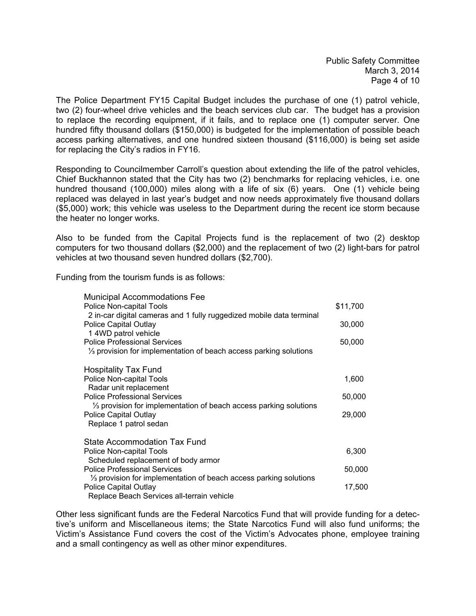The Police Department FY15 Capital Budget includes the purchase of one (1) patrol vehicle, two (2) four-wheel drive vehicles and the beach services club car. The budget has a provision to replace the recording equipment, if it fails, and to replace one (1) computer server. One hundred fifty thousand dollars (\$150,000) is budgeted for the implementation of possible beach access parking alternatives, and one hundred sixteen thousand (\$116,000) is being set aside for replacing the City's radios in FY16.

Responding to Councilmember Carroll's question about extending the life of the patrol vehicles, Chief Buckhannon stated that the City has two (2) benchmarks for replacing vehicles, i.e. one hundred thousand (100,000) miles along with a life of six (6) years. One (1) vehicle being replaced was delayed in last year's budget and now needs approximately five thousand dollars (\$5,000) work; this vehicle was useless to the Department during the recent ice storm because the heater no longer works.

Also to be funded from the Capital Projects fund is the replacement of two (2) desktop computers for two thousand dollars (\$2,000) and the replacement of two (2) light-bars for patrol vehicles at two thousand seven hundred dollars (\$2,700).

Funding from the tourism funds is as follows:

| <b>Municipal Accommodations Fee</b>                                          |          |
|------------------------------------------------------------------------------|----------|
| Police Non-capital Tools                                                     | \$11,700 |
| 2 in-car digital cameras and 1 fully ruggedized mobile data terminal         |          |
| <b>Police Capital Outlay</b>                                                 | 30,000   |
| 1 4WD patrol vehicle<br><b>Police Professional Services</b>                  |          |
| $\frac{1}{3}$ provision for implementation of beach access parking solutions | 50,000   |
|                                                                              |          |
| <b>Hospitality Tax Fund</b>                                                  |          |
| Police Non-capital Tools                                                     | 1,600    |
| Radar unit replacement                                                       |          |
| <b>Police Professional Services</b>                                          | 50,000   |
| $\frac{1}{3}$ provision for implementation of beach access parking solutions |          |
| <b>Police Capital Outlay</b>                                                 | 29,000   |
| Replace 1 patrol sedan                                                       |          |
| State Accommodation Tax Fund                                                 |          |
| Police Non-capital Tools                                                     | 6,300    |
| Scheduled replacement of body armor                                          |          |
| <b>Police Professional Services</b>                                          | 50,000   |
| $\frac{1}{3}$ provision for implementation of beach access parking solutions |          |
| Police Capital Outlay                                                        | 17,500   |
| Replace Beach Services all-terrain vehicle                                   |          |

Other less significant funds are the Federal Narcotics Fund that will provide funding for a detective's uniform and Miscellaneous items; the State Narcotics Fund will also fund uniforms; the Victim's Assistance Fund covers the cost of the Victim's Advocates phone, employee training and a small contingency as well as other minor expenditures.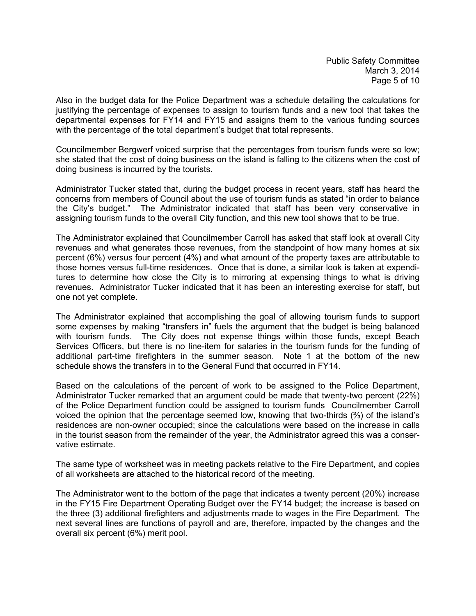Also in the budget data for the Police Department was a schedule detailing the calculations for justifying the percentage of expenses to assign to tourism funds and a new tool that takes the departmental expenses for FY14 and FY15 and assigns them to the various funding sources with the percentage of the total department's budget that total represents.

Councilmember Bergwerf voiced surprise that the percentages from tourism funds were so low; she stated that the cost of doing business on the island is falling to the citizens when the cost of doing business is incurred by the tourists.

Administrator Tucker stated that, during the budget process in recent years, staff has heard the concerns from members of Council about the use of tourism funds as stated "in order to balance the City's budget." The Administrator indicated that staff has been very conservative in assigning tourism funds to the overall City function, and this new tool shows that to be true.

The Administrator explained that Councilmember Carroll has asked that staff look at overall City revenues and what generates those revenues, from the standpoint of how many homes at six percent (6%) versus four percent (4%) and what amount of the property taxes are attributable to those homes versus full-time residences. Once that is done, a similar look is taken at expenditures to determine how close the City is to mirroring at expensing things to what is driving revenues. Administrator Tucker indicated that it has been an interesting exercise for staff, but one not yet complete.

The Administrator explained that accomplishing the goal of allowing tourism funds to support some expenses by making "transfers in" fuels the argument that the budget is being balanced with tourism funds. The City does not expense things within those funds, except Beach Services Officers, but there is no line-item for salaries in the tourism funds for the funding of additional part-time firefighters in the summer season. Note 1 at the bottom of the new schedule shows the transfers in to the General Fund that occurred in FY14.

Based on the calculations of the percent of work to be assigned to the Police Department, Administrator Tucker remarked that an argument could be made that twenty-two percent (22%) of the Police Department function could be assigned to tourism funds Councilmember Carroll voiced the opinion that the percentage seemed low, knowing that two-thirds (⅔) of the island's residences are non-owner occupied; since the calculations were based on the increase in calls in the tourist season from the remainder of the year, the Administrator agreed this was a conservative estimate.

The same type of worksheet was in meeting packets relative to the Fire Department, and copies of all worksheets are attached to the historical record of the meeting.

The Administrator went to the bottom of the page that indicates a twenty percent (20%) increase in the FY15 Fire Department Operating Budget over the FY14 budget; the increase is based on the three (3) additional firefighters and adjustments made to wages in the Fire Department. The next several lines are functions of payroll and are, therefore, impacted by the changes and the overall six percent (6%) merit pool.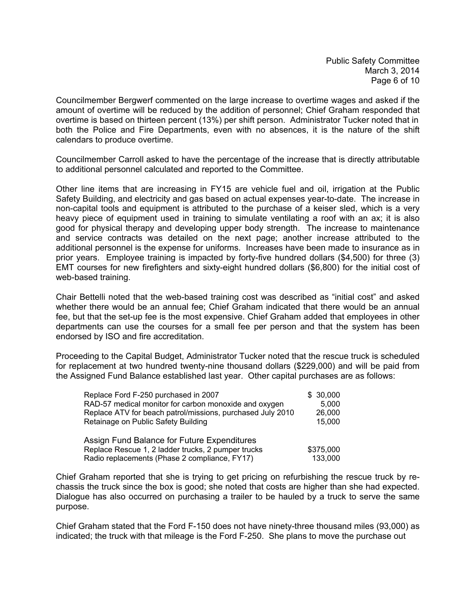Councilmember Bergwerf commented on the large increase to overtime wages and asked if the amount of overtime will be reduced by the addition of personnel; Chief Graham responded that overtime is based on thirteen percent (13%) per shift person. Administrator Tucker noted that in both the Police and Fire Departments, even with no absences, it is the nature of the shift calendars to produce overtime.

Councilmember Carroll asked to have the percentage of the increase that is directly attributable to additional personnel calculated and reported to the Committee.

Other line items that are increasing in FY15 are vehicle fuel and oil, irrigation at the Public Safety Building, and electricity and gas based on actual expenses year-to-date. The increase in non-capital tools and equipment is attributed to the purchase of a keiser sled, which is a very heavy piece of equipment used in training to simulate ventilating a roof with an ax; it is also good for physical therapy and developing upper body strength. The increase to maintenance and service contracts was detailed on the next page; another increase attributed to the additional personnel is the expense for uniforms. Increases have been made to insurance as in prior years. Employee training is impacted by forty-five hundred dollars (\$4,500) for three (3) EMT courses for new firefighters and sixty-eight hundred dollars (\$6,800) for the initial cost of web-based training.

Chair Bettelli noted that the web-based training cost was described as "initial cost" and asked whether there would be an annual fee; Chief Graham indicated that there would be an annual fee, but that the set-up fee is the most expensive. Chief Graham added that employees in other departments can use the courses for a small fee per person and that the system has been endorsed by ISO and fire accreditation.

Proceeding to the Capital Budget, Administrator Tucker noted that the rescue truck is scheduled for replacement at two hundred twenty-nine thousand dollars (\$229,000) and will be paid from the Assigned Fund Balance established last year. Other capital purchases are as follows:

| Replace Ford F-250 purchased in 2007                       | \$30,000  |
|------------------------------------------------------------|-----------|
| RAD-57 medical monitor for carbon monoxide and oxygen      | 5.000     |
| Replace ATV for beach patrol/missions, purchased July 2010 | 26,000    |
| Retainage on Public Safety Building                        | 15,000    |
| Assign Fund Balance for Future Expenditures                |           |
| Replace Rescue 1, 2 ladder trucks, 2 pumper trucks         | \$375,000 |
| Radio replacements (Phase 2 compliance, FY17)              | 133,000   |

Chief Graham reported that she is trying to get pricing on refurbishing the rescue truck by rechassis the truck since the box is good; she noted that costs are higher than she had expected. Dialogue has also occurred on purchasing a trailer to be hauled by a truck to serve the same purpose.

Chief Graham stated that the Ford F-150 does not have ninety-three thousand miles (93,000) as indicated; the truck with that mileage is the Ford F-250. She plans to move the purchase out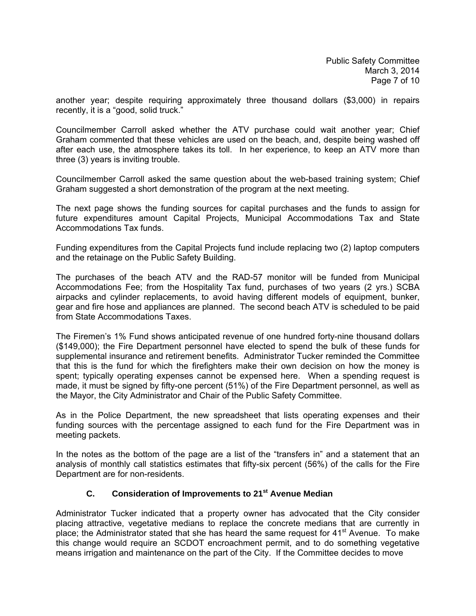another year; despite requiring approximately three thousand dollars (\$3,000) in repairs recently, it is a "good, solid truck."

Councilmember Carroll asked whether the ATV purchase could wait another year; Chief Graham commented that these vehicles are used on the beach, and, despite being washed off after each use, the atmosphere takes its toll. In her experience, to keep an ATV more than three (3) years is inviting trouble.

Councilmember Carroll asked the same question about the web-based training system; Chief Graham suggested a short demonstration of the program at the next meeting.

The next page shows the funding sources for capital purchases and the funds to assign for future expenditures amount Capital Projects, Municipal Accommodations Tax and State Accommodations Tax funds.

Funding expenditures from the Capital Projects fund include replacing two (2) laptop computers and the retainage on the Public Safety Building.

The purchases of the beach ATV and the RAD-57 monitor will be funded from Municipal Accommodations Fee; from the Hospitality Tax fund, purchases of two years (2 yrs.) SCBA airpacks and cylinder replacements, to avoid having different models of equipment, bunker, gear and fire hose and appliances are planned. The second beach ATV is scheduled to be paid from State Accommodations Taxes.

The Firemen's 1% Fund shows anticipated revenue of one hundred forty-nine thousand dollars (\$149,000); the Fire Department personnel have elected to spend the bulk of these funds for supplemental insurance and retirement benefits. Administrator Tucker reminded the Committee that this is the fund for which the firefighters make their own decision on how the money is spent; typically operating expenses cannot be expensed here. When a spending request is made, it must be signed by fifty-one percent (51%) of the Fire Department personnel, as well as the Mayor, the City Administrator and Chair of the Public Safety Committee.

As in the Police Department, the new spreadsheet that lists operating expenses and their funding sources with the percentage assigned to each fund for the Fire Department was in meeting packets.

In the notes as the bottom of the page are a list of the "transfers in" and a statement that an analysis of monthly call statistics estimates that fifty-six percent (56%) of the calls for the Fire Department are for non-residents.

### **C. Consideration of Improvements to 21st Avenue Median**

Administrator Tucker indicated that a property owner has advocated that the City consider placing attractive, vegetative medians to replace the concrete medians that are currently in place; the Administrator stated that she has heard the same request for 41<sup>st</sup> Avenue. To make this change would require an SCDOT encroachment permit, and to do something vegetative means irrigation and maintenance on the part of the City. If the Committee decides to move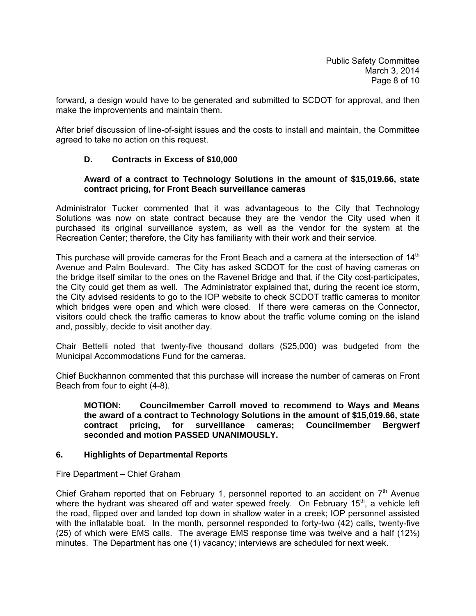forward, a design would have to be generated and submitted to SCDOT for approval, and then make the improvements and maintain them.

After brief discussion of line-of-sight issues and the costs to install and maintain, the Committee agreed to take no action on this request.

### **D. Contracts in Excess of \$10,000**

#### **Award of a contract to Technology Solutions in the amount of \$15,019.66, state contract pricing, for Front Beach surveillance cameras**

Administrator Tucker commented that it was advantageous to the City that Technology Solutions was now on state contract because they are the vendor the City used when it purchased its original surveillance system, as well as the vendor for the system at the Recreation Center; therefore, the City has familiarity with their work and their service.

This purchase will provide cameras for the Front Beach and a camera at the intersection of  $14<sup>th</sup>$ Avenue and Palm Boulevard. The City has asked SCDOT for the cost of having cameras on the bridge itself similar to the ones on the Ravenel Bridge and that, if the City cost-participates, the City could get them as well. The Administrator explained that, during the recent ice storm, the City advised residents to go to the IOP website to check SCDOT traffic cameras to monitor which bridges were open and which were closed. If there were cameras on the Connector, visitors could check the traffic cameras to know about the traffic volume coming on the island and, possibly, decide to visit another day.

Chair Bettelli noted that twenty-five thousand dollars (\$25,000) was budgeted from the Municipal Accommodations Fund for the cameras.

Chief Buckhannon commented that this purchase will increase the number of cameras on Front Beach from four to eight (4-8).

**MOTION: Councilmember Carroll moved to recommend to Ways and Means the award of a contract to Technology Solutions in the amount of \$15,019.66, state contract pricing, for surveillance cameras; Councilmember Bergwerf seconded and motion PASSED UNANIMOUSLY.** 

#### **6. Highlights of Departmental Reports**

Fire Department – Chief Graham

Chief Graham reported that on February 1, personnel reported to an accident on  $7<sup>th</sup>$  Avenue where the hydrant was sheared off and water spewed freely. On February  $15<sup>th</sup>$ , a vehicle left the road, flipped over and landed top down in shallow water in a creek; IOP personnel assisted with the inflatable boat. In the month, personnel responded to forty-two (42) calls, twenty-five (25) of which were EMS calls. The average EMS response time was twelve and a half  $(12\frac{1}{2})$ minutes. The Department has one (1) vacancy; interviews are scheduled for next week.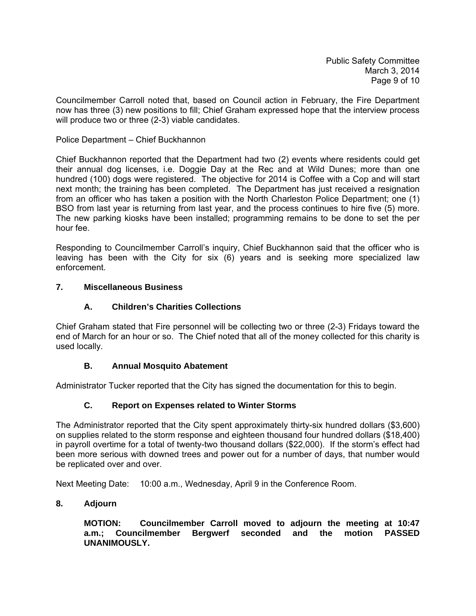Councilmember Carroll noted that, based on Council action in February, the Fire Department now has three (3) new positions to fill; Chief Graham expressed hope that the interview process will produce two or three (2-3) viable candidates.

### Police Department – Chief Buckhannon

Chief Buckhannon reported that the Department had two (2) events where residents could get their annual dog licenses, i.e. Doggie Day at the Rec and at Wild Dunes; more than one hundred (100) dogs were registered. The objective for 2014 is Coffee with a Cop and will start next month; the training has been completed. The Department has just received a resignation from an officer who has taken a position with the North Charleston Police Department; one (1) BSO from last year is returning from last year, and the process continues to hire five (5) more. The new parking kiosks have been installed; programming remains to be done to set the per hour fee.

Responding to Councilmember Carroll's inquiry, Chief Buckhannon said that the officer who is leaving has been with the City for six (6) years and is seeking more specialized law enforcement.

### **7. Miscellaneous Business**

### **A. Children's Charities Collections**

Chief Graham stated that Fire personnel will be collecting two or three (2-3) Fridays toward the end of March for an hour or so. The Chief noted that all of the money collected for this charity is used locally.

### **B. Annual Mosquito Abatement**

Administrator Tucker reported that the City has signed the documentation for this to begin.

### **C. Report on Expenses related to Winter Storms**

The Administrator reported that the City spent approximately thirty-six hundred dollars (\$3,600) on supplies related to the storm response and eighteen thousand four hundred dollars (\$18,400) in payroll overtime for a total of twenty-two thousand dollars (\$22,000). If the storm's effect had been more serious with downed trees and power out for a number of days, that number would be replicated over and over.

Next Meeting Date: 10:00 a.m., Wednesday, April 9 in the Conference Room.

### **8. Adjourn**

 **MOTION: Councilmember Carroll moved to adjourn the meeting at 10:47 a.m.; Councilmember Bergwerf seconded and the motion PASSED UNANIMOUSLY.**